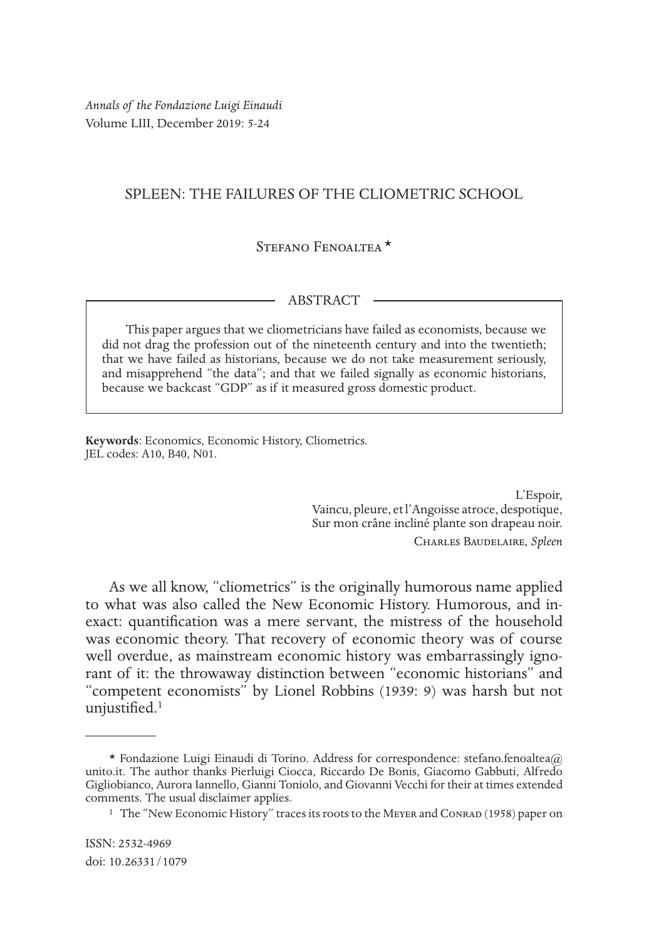*Annals of the Fondazione Luigi Einaudi* Volume LIII, December 2019: 5-24

# SPLEEN: THE FAILURES OF THE CLIOMETRIC SCHOOL

# STEFANO FENOALTEA<sup>\*</sup>

### ABSTRACT

This paper argues that we cliometricians have failed as economists, because we did not drag the profession out of the nineteenth century and into the twentieth; that we have failed as historians, because we do not take measurement seriously, and misapprehend "the data"; and that we failed signally as economic historians, because we backcast "GDP" as if it measured gross domestic product.

**Keywords**: Economics, Economic History, Cliometrics. JEL codes: A10, B40, N01.

> L'Espoir, Vaincu, pleure, et l'Angoisse atroce, despotique, Sur mon crâne incliné plante son drapeau noir.

Charles Baudelaire, *Spleen*

As we all know, "cliometrics" is the originally humorous name applied to what was also called the New Economic History. Humorous, and inexact: quantification was a mere servant, the mistress of the household was economic theory. That recovery of economic theory was of course well overdue, as mainstream economic history was embarrassingly ignorant of it: the throwaway distinction between "economic historians" and "competent economists" by Lionel Robbins (1939: 9) was harsh but not unjustified.<sup>1</sup>

<sup>\*</sup> Fondazione Luigi Einaudi di Torino. Address for correspondence: stefano.fenoaltea@ unito.it. The author thanks Pierluigi Ciocca, Riccardo De Bonis, Giacomo Gabbuti, Alfredo Gigliobianco, Aurora Iannello, Gianni Toniolo, and Giovanni Vecchi for their at times extended comments. The usual disclaimer applies.

<sup>&</sup>lt;sup>1</sup> The "New Economic History" traces its roots to the MEYER and CONRAD (1958) paper on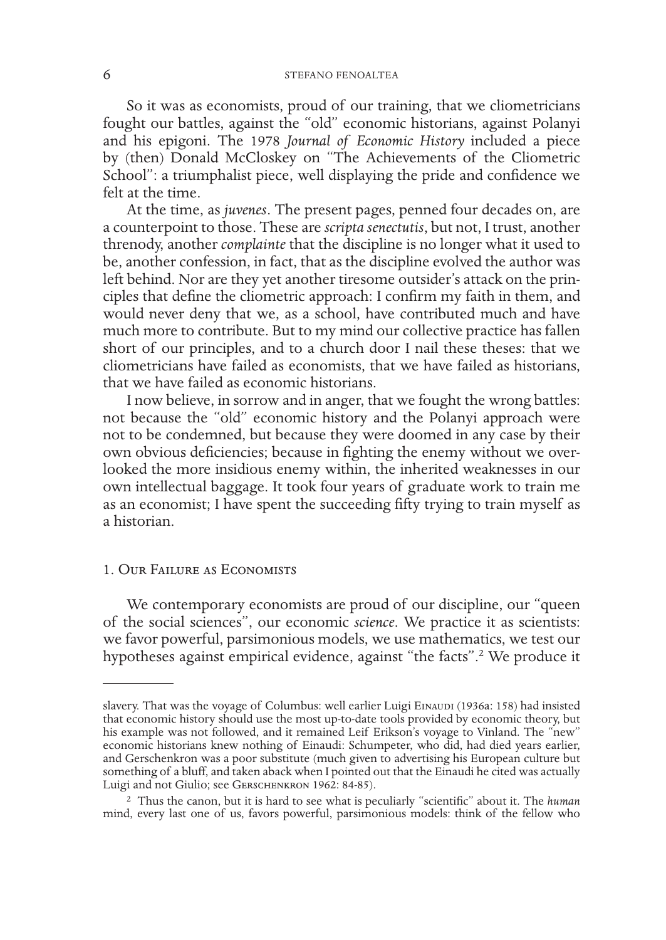So it was as economists, proud of our training, that we cliometricians fought our battles, against the "old" economic historians, against Polanyi and his epigoni. The 1978 *Journal of Economic History* included a piece by (then) Donald McCloskey on "The Achievements of the Cliometric School": a triumphalist piece, well displaying the pride and confidence we felt at the time.

At the time, as *juvenes*. The present pages, penned four decades on, are a counterpoint to those. These are *scripta senectutis*, but not, I trust, another threnody, another *complainte* that the discipline is no longer what it used to be, another confession, in fact, that as the discipline evolved the author was left behind. Nor are they yet another tiresome outsider's attack on the principles that define the cliometric approach: I confirm my faith in them, and would never deny that we, as a school, have contributed much and have much more to contribute. But to my mind our collective practice has fallen short of our principles, and to a church door I nail these theses: that we cliometricians have failed as economists, that we have failed as historians, that we have failed as economic historians.

I now believe, in sorrow and in anger, that we fought the wrong battles: not because the "old" economic history and the Polanyi approach were not to be condemned, but because they were doomed in any case by their own obvious deficiencies; because in fighting the enemy without we overlooked the more insidious enemy within, the inherited weaknesses in our own intellectual baggage. It took four years of graduate work to train me as an economist; I have spent the succeeding fifty trying to train myself as a historian.

# 1. Our Failure as Economists

We contemporary economists are proud of our discipline, our "queen of the social sciences", our economic *science*. We practice it as scientists: we favor powerful, parsimonious models, we use mathematics, we test our hypotheses against empirical evidence, against "the facts".<sup>2</sup> We produce it

slavery. That was the voyage of Columbus: well earlier Luigi EINAUDI (1936a: 158) had insisted that economic history should use the most up-to-date tools provided by economic theory, but his example was not followed, and it remained Leif Erikson's voyage to Vinland. The "new" economic historians knew nothing of Einaudi: Schumpeter, who did, had died years earlier, and Gerschenkron was a poor substitute (much given to advertising his European culture but something of a bluff, and taken aback when I pointed out that the Einaudi he cited was actually Luigi and not Giulio; see GERSCHENKRON 1962: 84-85).

<sup>2</sup> Thus the canon, but it is hard to see what is peculiarly "scientific" about it. The *human* mind, every last one of us, favors powerful, parsimonious models: think of the fellow who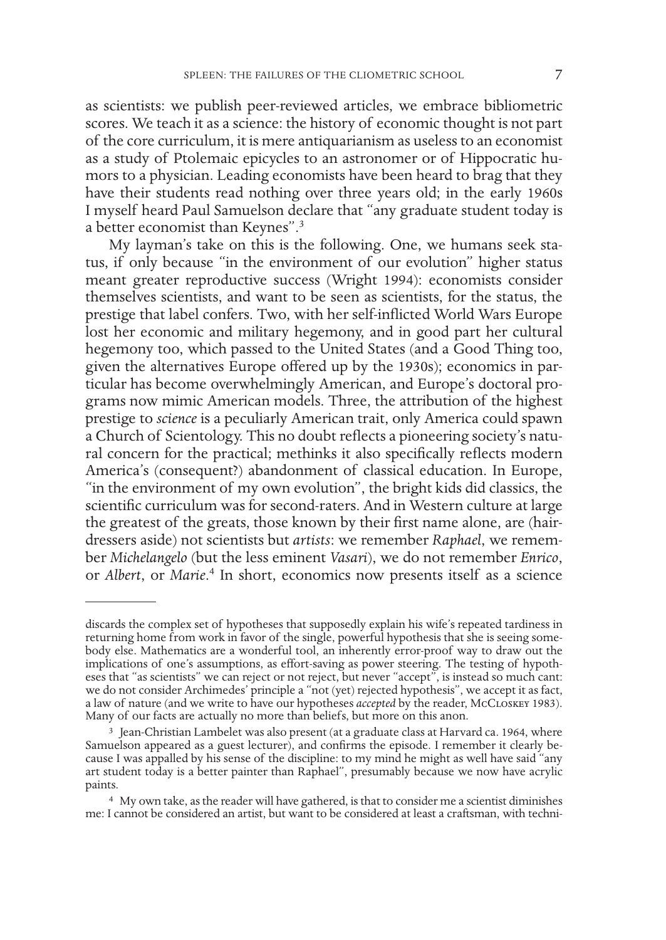as scientists: we publish peer-reviewed articles, we embrace bibliometric scores. We teach it as a science: the history of economic thought is not part of the core curriculum, it is mere antiquarianism as useless to an economist as a study of Ptolemaic epicycles to an astronomer or of Hippocratic humors to a physician. Leading economists have been heard to brag that they have their students read nothing over three years old; in the early 1960s I myself heard Paul Samuelson declare that "any graduate student today is a better economist than Keynes".3

My layman's take on this is the following. One, we humans seek status, if only because "in the environment of our evolution" higher status meant greater reproductive success (Wright 1994): economists consider themselves scientists, and want to be seen as scientists, for the status, the prestige that label confers. Two, with her self-inflicted World Wars Europe lost her economic and military hegemony, and in good part her cultural hegemony too, which passed to the United States (and a Good Thing too, given the alternatives Europe offered up by the 1930s); economics in particular has become overwhelmingly American, and Europe's doctoral programs now mimic American models. Three, the attribution of the highest prestige to *science* is a peculiarly American trait, only America could spawn a Church of Scientology. This no doubt reflects a pioneering society's natural concern for the practical; methinks it also specifically reflects modern America's (consequent?) abandonment of classical education. In Europe, "in the environment of my own evolution", the bright kids did classics, the scientific curriculum was for second-raters. And in Western culture at large the greatest of the greats, those known by their first name alone, are (hairdressers aside) not scientists but *artists*: we remember *Raphael*, we remember *Michelangelo* (but the less eminent *Vasari*), we do not remember *Enrico*, or *Albert*, or *Marie*. 4 In short, economics now presents itself as a science

discards the complex set of hypotheses that supposedly explain his wife's repeated tardiness in returning home from work in favor of the single, powerful hypothesis that she is seeing somebody else. Mathematics are a wonderful tool, an inherently error-proof way to draw out the implications of one's assumptions, as effort-saving as power steering. The testing of hypotheses that "as scientists" we can reject or not reject, but never "accept", is instead so much cant: we do not consider Archimedes' principle a "not (yet) rejected hypothesis", we accept it as fact, a law of nature (and we write to have our hypotheses *accepted* by the reader, McCloskey 1983). Many of our facts are actually no more than beliefs, but more on this anon.

<sup>3</sup> Jean-Christian Lambelet was also present (at a graduate class at Harvard ca. 1964, where Samuelson appeared as a guest lecturer), and confirms the episode. I remember it clearly because I was appalled by his sense of the discipline: to my mind he might as well have said "any art student today is a better painter than Raphael", presumably because we now have acrylic paints.

<sup>4</sup> My own take, as the reader will have gathered, is that to consider me a scientist diminishes me: I cannot be considered an artist, but want to be considered at least a craftsman, with techni-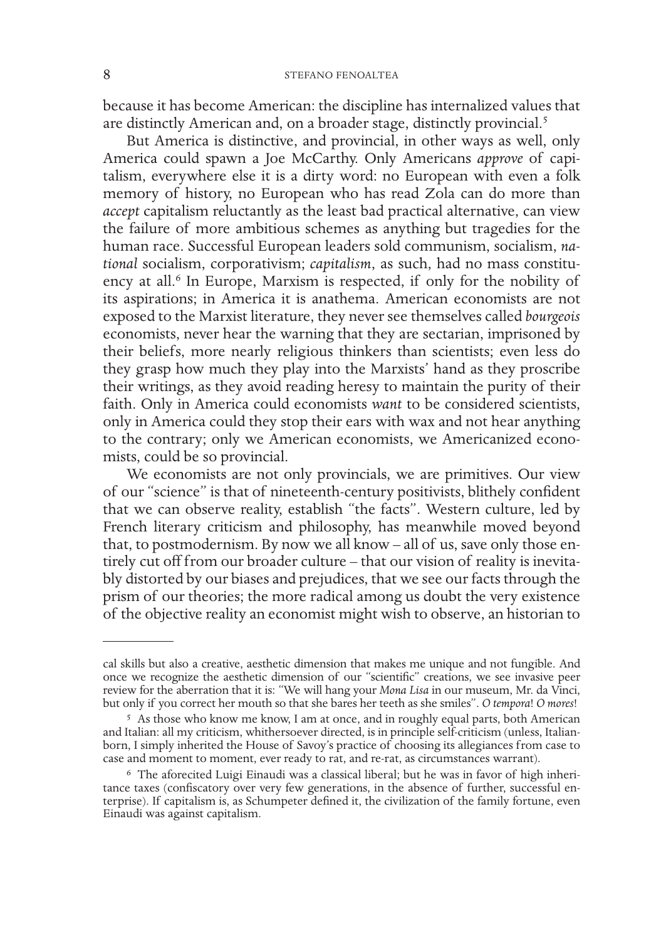because it has become American: the discipline has internalized values that are distinctly American and, on a broader stage, distinctly provincial.<sup>5</sup>

But America is distinctive, and provincial, in other ways as well, only America could spawn a Joe McCarthy. Only Americans *approve* of capitalism, everywhere else it is a dirty word: no European with even a folk memory of history, no European who has read Zola can do more than *accept* capitalism reluctantly as the least bad practical alternative, can view the failure of more ambitious schemes as anything but tragedies for the human race. Successful European leaders sold communism, socialism, *national* socialism, corporativism; *capitalism*, as such, had no mass constituency at all.<sup>6</sup> In Europe, Marxism is respected, if only for the nobility of its aspirations; in America it is anathema. American economists are not exposed to the Marxist literature, they never see themselves called *bourgeois*  economists, never hear the warning that they are sectarian, imprisoned by their beliefs, more nearly religious thinkers than scientists; even less do they grasp how much they play into the Marxists' hand as they proscribe their writings, as they avoid reading heresy to maintain the purity of their faith. Only in America could economists *want* to be considered scientists, only in America could they stop their ears with wax and not hear anything to the contrary; only we American economists, we Americanized economists, could be so provincial.

We economists are not only provincials, we are primitives. Our view of our "science" is that of nineteenth-century positivists, blithely confident that we can observe reality, establish "the facts". Western culture, led by French literary criticism and philosophy, has meanwhile moved beyond that, to postmodernism. By now we all know – all of us, save only those entirely cut off from our broader culture – that our vision of reality is inevitably distorted by our biases and prejudices, that we see our facts through the prism of our theories; the more radical among us doubt the very existence of the objective reality an economist might wish to observe, an historian to

cal skills but also a creative, aesthetic dimension that makes me unique and not fungible. And once we recognize the aesthetic dimension of our "scientific" creations, we see invasive peer review for the aberration that it is: "We will hang your *Mona Lisa* in our museum, Mr. da Vinci, but only if you correct her mouth so that she bares her teeth as she smiles". *O tempora*! *O mores*!

<sup>5</sup> As those who know me know, I am at once, and in roughly equal parts, both American and Italian: all my criticism, whithersoever directed, is in principle self-criticism (unless, Italianborn, I simply inherited the House of Savoy's practice of choosing its allegiances from case to case and moment to moment, ever ready to rat, and re-rat, as circumstances warrant).

<sup>6</sup> The aforecited Luigi Einaudi was a classical liberal; but he was in favor of high inheritance taxes (confiscatory over very few generations, in the absence of further, successful enterprise). If capitalism is, as Schumpeter defined it, the civilization of the family fortune, even Einaudi was against capitalism.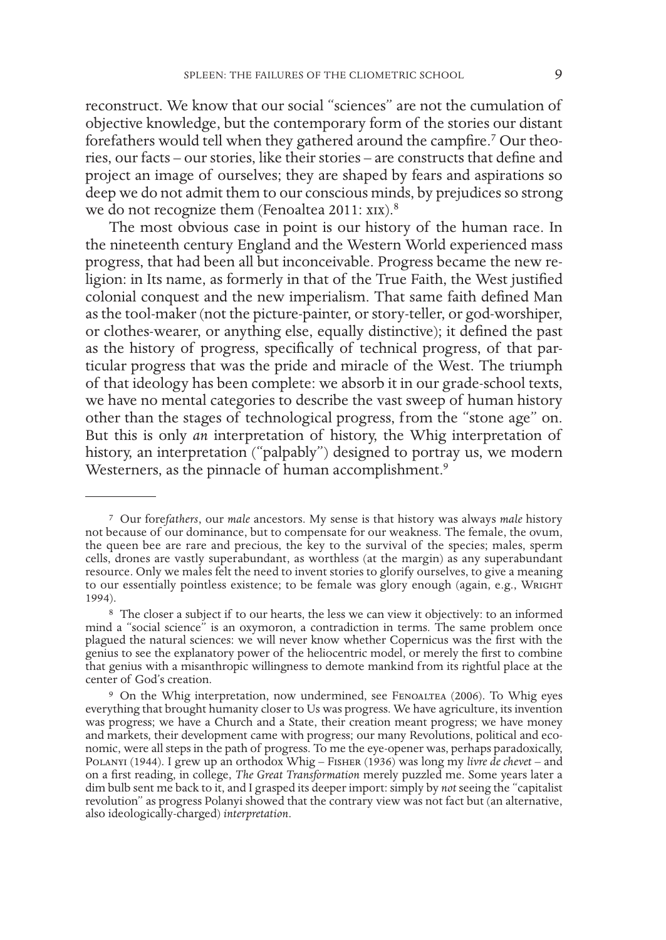reconstruct. We know that our social "sciences" are not the cumulation of objective knowledge, but the contemporary form of the stories our distant forefathers would tell when they gathered around the campfire.<sup>7</sup> Our theories, our facts – our stories, like their stories – are constructs that define and project an image of ourselves; they are shaped by fears and aspirations so deep we do not admit them to our conscious minds, by prejudices so strong we do not recognize them (Fenoaltea 2011: xix).<sup>8</sup>

The most obvious case in point is our history of the human race. In the nineteenth century England and the Western World experienced mass progress, that had been all but inconceivable. Progress became the new religion: in Its name, as formerly in that of the True Faith, the West justified colonial conquest and the new imperialism. That same faith defined Man as the tool-maker (not the picture-painter, or story-teller, or god-worshiper, or clothes-wearer, or anything else, equally distinctive); it defined the past as the history of progress, specifically of technical progress, of that particular progress that was the pride and miracle of the West. The triumph of that ideology has been complete: we absorb it in our grade-school texts, we have no mental categories to describe the vast sweep of human history other than the stages of technological progress, from the "stone age" on. But this is only *an* interpretation of history, the Whig interpretation of history, an interpretation ("palpably") designed to portray us, we modern Westerners, as the pinnacle of human accomplishment.<sup>9</sup>

<sup>7</sup> Our fore*fathers*, our *male* ancestors. My sense is that history was always *male* history not because of our dominance, but to compensate for our weakness. The female, the ovum, the queen bee are rare and precious, the key to the survival of the species; males, sperm cells, drones are vastly superabundant, as worthless (at the margin) as any superabundant resource. Only we males felt the need to invent stories to glorify ourselves, to give a meaning to our essentially pointless existence; to be female was glory enough (again, e.g., WRIGHT 1994).

<sup>8</sup> The closer a subject if to our hearts, the less we can view it objectively: to an informed mind a "social science" is an oxymoron, a contradiction in terms. The same problem once plagued the natural sciences: we will never know whether Copernicus was the first with the genius to see the explanatory power of the heliocentric model, or merely the first to combine that genius with a misanthropic willingness to demote mankind from its rightful place at the center of God's creation.

<sup>9</sup> On the Whig interpretation, now undermined, see Fenoaltea (2006). To Whig eyes everything that brought humanity closer to Us was progress. We have agriculture, its invention was progress; we have a Church and a State, their creation meant progress; we have money and markets, their development came with progress; our many Revolutions, political and economic, were all steps in the path of progress. To me the eye-opener was, perhaps paradoxically, Polanyi (1944). I grew up an orthodox Whig – Fisher (1936) was long my *livre de chevet* – and on a first reading, in college, *The Great Transformation* merely puzzled me. Some years later a dim bulb sent me back to it, and I grasped its deeper import: simply by *not* seeing the "capitalist revolution" as progress Polanyi showed that the contrary view was not fact but (an alternative, also ideologically-charged) *interpretation*.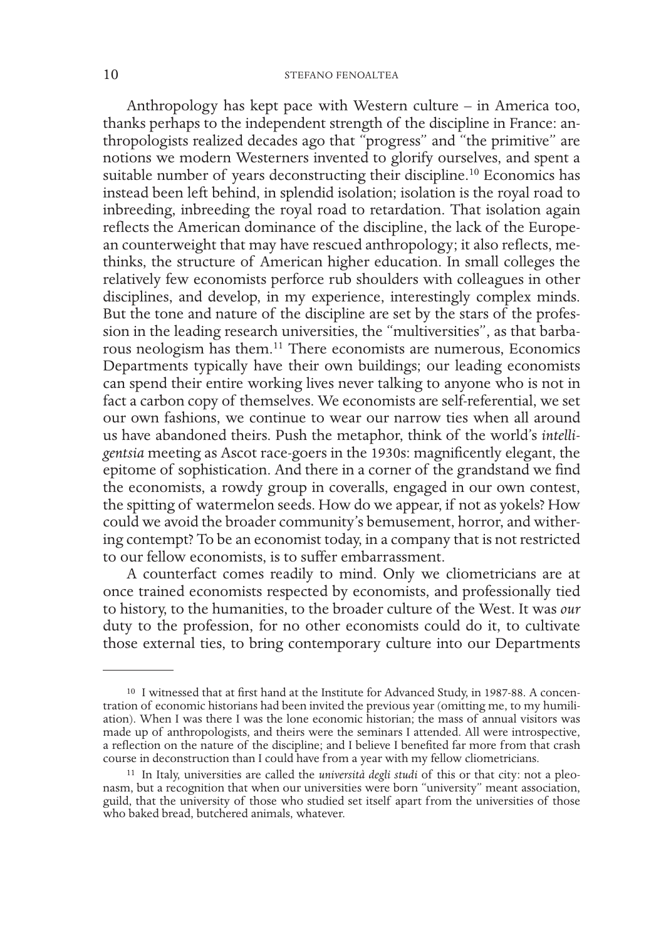## 10 STEFANO FENOALTEA

Anthropology has kept pace with Western culture – in America too, thanks perhaps to the independent strength of the discipline in France: anthropologists realized decades ago that "progress" and "the primitive" are notions we modern Westerners invented to glorify ourselves, and spent a suitable number of years deconstructing their discipline.<sup>10</sup> Economics has instead been left behind, in splendid isolation; isolation is the royal road to inbreeding, inbreeding the royal road to retardation. That isolation again reflects the American dominance of the discipline, the lack of the European counterweight that may have rescued anthropology; it also reflects, methinks, the structure of American higher education. In small colleges the relatively few economists perforce rub shoulders with colleagues in other disciplines, and develop, in my experience, interestingly complex minds. But the tone and nature of the discipline are set by the stars of the profession in the leading research universities, the "multiversities", as that barbarous neologism has them.11 There economists are numerous, Economics Departments typically have their own buildings; our leading economists can spend their entire working lives never talking to anyone who is not in fact a carbon copy of themselves. We economists are self-referential, we set our own fashions, we continue to wear our narrow ties when all around us have abandoned theirs. Push the metaphor, think of the world's *intelligentsia* meeting as Ascot race-goers in the 1930s: magnificently elegant, the epitome of sophistication. And there in a corner of the grandstand we find the economists, a rowdy group in coveralls, engaged in our own contest, the spitting of watermelon seeds. How do we appear, if not as yokels? How could we avoid the broader community's bemusement, horror, and withering contempt? To be an economist today, in a company that is not restricted to our fellow economists, is to suffer embarrassment.

A counterfact comes readily to mind. Only we cliometricians are at once trained economists respected by economists, and professionally tied to history, to the humanities, to the broader culture of the West. It was *our*  duty to the profession, for no other economists could do it, to cultivate those external ties, to bring contemporary culture into our Departments

<sup>&</sup>lt;sup>10</sup> I witnessed that at first hand at the Institute for Advanced Study, in 1987-88. A concentration of economic historians had been invited the previous year (omitting me, to my humiliation). When I was there I was the lo made up of anthropologists, and theirs were the seminars I attended. All were introspective, a reflection on the nature of the discipline; and I believe I benefited far more from that crash course in deconstruction than I could have from a year with my fellow cliometricians.

<sup>11</sup> In Italy, universities are called the *università degli studi* of this or that city: not a pleonasm, but a recognition that when our universities were born "university" meant association, guild, that the university of those who studied set itself apart from the universities of those who baked bread, butchered animals, whatever.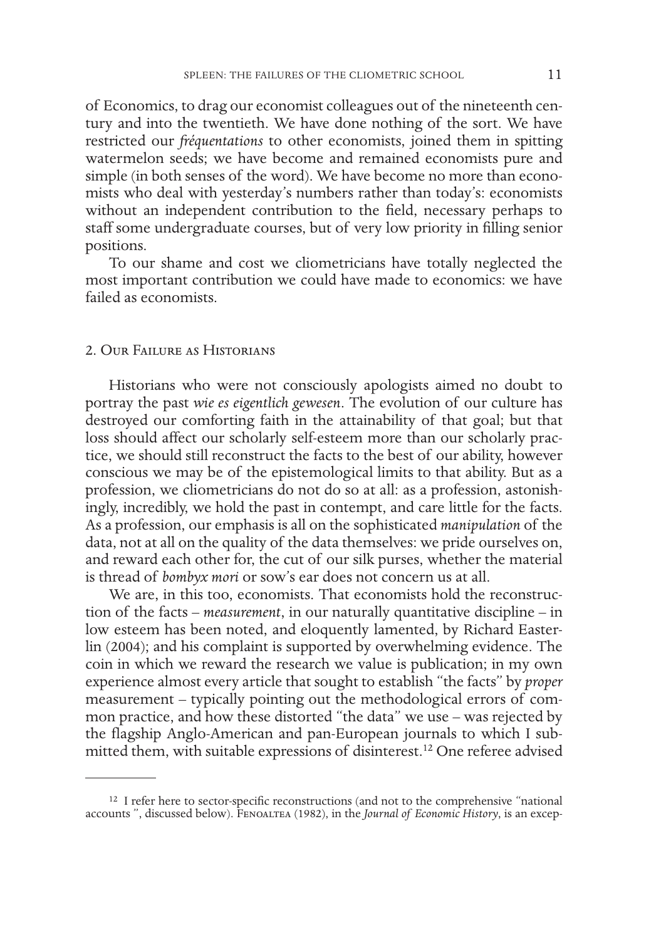of Economics, to drag our economist colleagues out of the nineteenth century and into the twentieth. We have done nothing of the sort. We have restricted our *fréquentations* to other economists, joined them in spitting watermelon seeds; we have become and remained economists pure and simple (in both senses of the word). We have become no more than economists who deal with yesterday's numbers rather than today's: economists without an independent contribution to the field, necessary perhaps to staff some undergraduate courses, but of very low priority in filling senior positions.

To our shame and cost we cliometricians have totally neglected the most important contribution we could have made to economics: we have failed as economists.

### 2. Our Failure as Historians

Historians who were not consciously apologists aimed no doubt to portray the past *wie es eigentlich gewesen*. The evolution of our culture has destroyed our comforting faith in the attainability of that goal; but that loss should affect our scholarly self-esteem more than our scholarly practice, we should still reconstruct the facts to the best of our ability, however conscious we may be of the epistemological limits to that ability. But as a profession, we cliometricians do not do so at all: as a profession, astonishingly, incredibly, we hold the past in contempt, and care little for the facts. As a profession, our emphasis is all on the sophisticated *manipulation* of the data, not at all on the quality of the data themselves: we pride ourselves on, and reward each other for, the cut of our silk purses, whether the material is thread of *bombyx mori* or sow's ear does not concern us at all.

We are, in this too, economists. That economists hold the reconstruction of the facts – *measurement*, in our naturally quantitative discipline – in low esteem has been noted, and eloquently lamented, by Richard Easterlin (2004); and his complaint is supported by overwhelming evidence. The coin in which we reward the research we value is publication; in my own experience almost every article that sought to establish "the facts" by *proper* measurement – typically pointing out the methodological errors of common practice, and how these distorted "the data" we use – was rejected by the flagship Anglo-American and pan-European journals to which I submitted them, with suitable expressions of disinterest.12 One referee advised

<sup>&</sup>lt;sup>12</sup> I refer here to sector-specific reconstructions (and not to the comprehensive "national accounts ", discussed below). Fenoaltea (1982), in the *Journal of Economic History*, is an excep-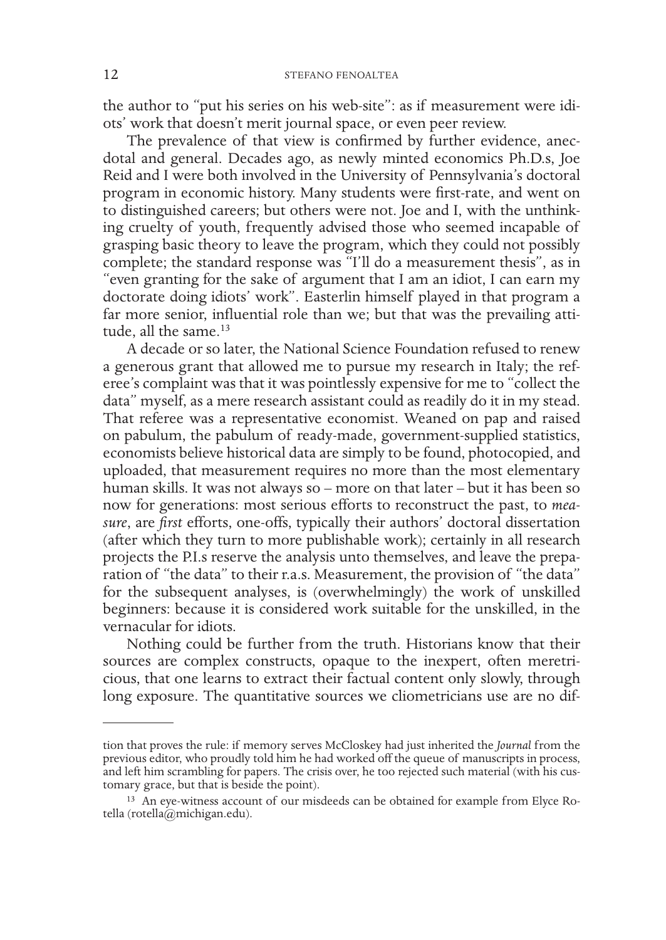the author to "put his series on his web-site": as if measurement were idiots' work that doesn't merit journal space, or even peer review.

The prevalence of that view is confirmed by further evidence, anecdotal and general. Decades ago, as newly minted economics Ph.D.s, Joe Reid and I were both involved in the University of Pennsylvania's doctoral program in economic history. Many students were first-rate, and went on to distinguished careers; but others were not. Joe and I, with the unthinking cruelty of youth, frequently advised those who seemed incapable of grasping basic theory to leave the program, which they could not possibly complete; the standard response was "I'll do a measurement thesis", as in "even granting for the sake of argument that I am an idiot, I can earn my doctorate doing idiots' work". Easterlin himself played in that program a far more senior, influential role than we; but that was the prevailing attitude, all the same.<sup>13</sup>

A decade or so later, the National Science Foundation refused to renew a generous grant that allowed me to pursue my research in Italy; the referee's complaint was that it was pointlessly expensive for me to "collect the data" myself, as a mere research assistant could as readily do it in my stead. That referee was a representative economist. Weaned on pap and raised on pabulum, the pabulum of ready-made, government-supplied statistics, economists believe historical data are simply to be found, photocopied, and uploaded, that measurement requires no more than the most elementary human skills. It was not always so – more on that later – but it has been so now for generations: most serious efforts to reconstruct the past, to *measure*, are *first* efforts, one-offs, typically their authors' doctoral dissertation (after which they turn to more publishable work); certainly in all research projects the P.I.s reserve the analysis unto themselves, and leave the preparation of "the data" to their r.a.s. Measurement, the provision of "the data" for the subsequent analyses, is (overwhelmingly) the work of unskilled beginners: because it is considered work suitable for the unskilled, in the vernacular for idiots.

Nothing could be further from the truth. Historians know that their sources are complex constructs, opaque to the inexpert, often meretricious, that one learns to extract their factual content only slowly, through long exposure. The quantitative sources we cliometricians use are no dif-

tion that proves the rule: if memory serves McCloskey had just inherited the *Journal* from the previous editor, who proudly told him he had worked off the queue of manuscripts in process, and left him scrambling for papers. The crisis over, he too rejected such material (with his cus- tomary grace, but that is beside the point).

<sup>13</sup> An eye-witness account of our misdeeds can be obtained for example from Elyce Rotella (rotella@michigan.edu).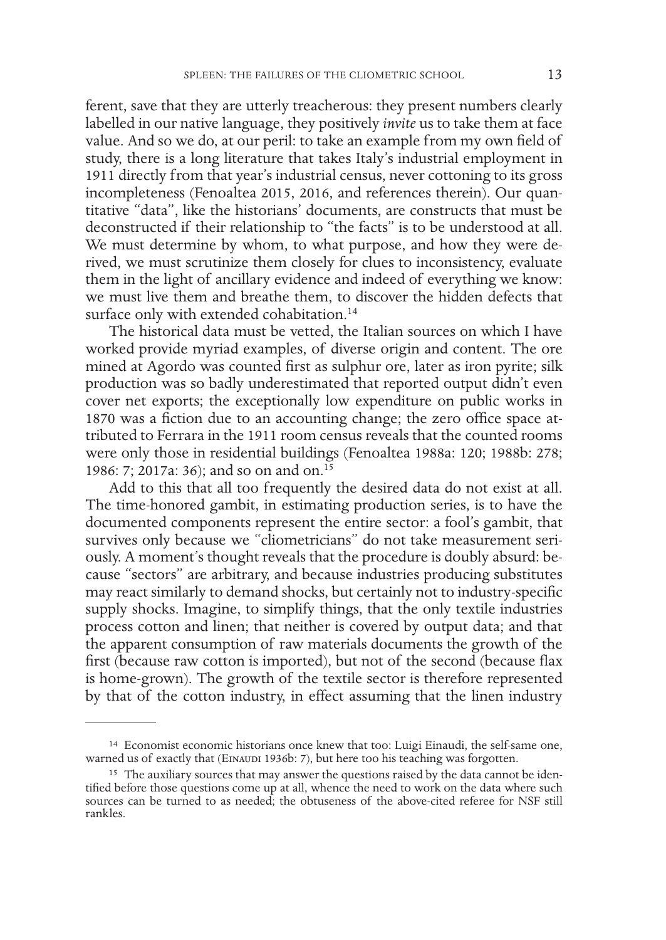ferent, save that they are utterly treacherous: they present numbers clearly labelled in our native language, they positively *invite* us to take them at face value. And so we do, at our peril: to take an example from my own field of study, there is a long literature that takes Italy's industrial employment in 1911 directly from that year's industrial census, never cottoning to its gross incompleteness (Fenoaltea 2015, 2016, and references therein). Our quantitative "data", like the historians' documents, are constructs that must be deconstructed if their relationship to "the facts" is to be understood at all. We must determine by whom, to what purpose, and how they were derived, we must scrutinize them closely for clues to inconsistency, evaluate them in the light of ancillary evidence and indeed of everything we know: we must live them and breathe them, to discover the hidden defects that surface only with extended cohabitation.<sup>14</sup>

The historical data must be vetted, the Italian sources on which I have worked provide myriad examples, of diverse origin and content. The ore mined at Agordo was counted first as sulphur ore, later as iron pyrite; silk production was so badly underestimated that reported output didn't even cover net exports; the exceptionally low expenditure on public works in 1870 was a fiction due to an accounting change; the zero office space attributed to Ferrara in the 1911 room census reveals that the counted rooms were only those in residential buildings (Fenoaltea 1988a: 120; 1988b: 278; 1986: 7; 2017a: 36); and so on and on.<sup>15</sup>

Add to this that all too frequently the desired data do not exist at all. The time-honored gambit, in estimating production series, is to have the documented components represent the entire sector: a fool's gambit, that survives only because we "cliometricians" do not take measurement seriously. A moment's thought reveals that the procedure is doubly absurd: because "sectors" are arbitrary, and because industries producing substitutes may react similarly to demand shocks, but certainly not to industry-specific supply shocks. Imagine, to simplify things, that the only textile industries process cotton and linen; that neither is covered by output data; and that the apparent consumption of raw materials documents the growth of the first (because raw cotton is imported), but not of the second (because flax is home-grown). The growth of the textile sector is therefore represented by that of the cotton industry, in effect assuming that the linen industry

<sup>&</sup>lt;sup>14</sup> Economist economic historians once knew that too: Luigi Einaudi, the self-same one, warned us of exactly that (EINAUDI 1936b: 7), but here too his teaching was forgotten.

<sup>&</sup>lt;sup>15</sup> The auxiliary sources that may answer the questions raised by the data cannot be identified before those questions come up at all, whence the need to work on the data where such sources can be turned to as needed; the obtuseness of the above-cited referee for NSF still rankles.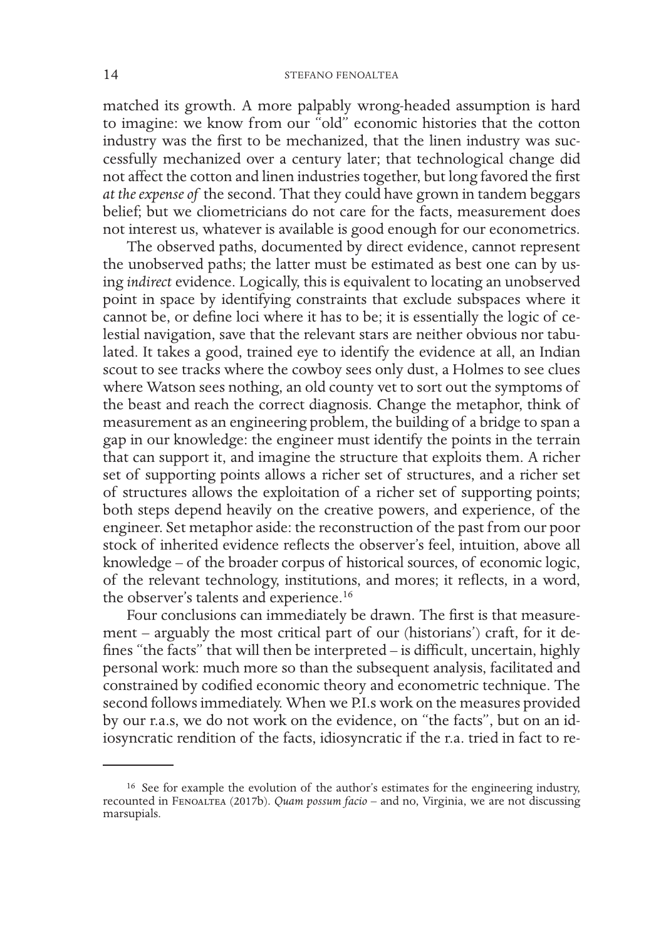matched its growth. A more palpably wrong-headed assumption is hard to imagine: we know from our "old" economic histories that the cotton industry was the first to be mechanized, that the linen industry was successfully mechanized over a century later; that technological change did not affect the cotton and linen industries together, but long favored the first *at the expense of* the second. That they could have grown in tandem beggars belief; but we cliometricians do not care for the facts, measurement does not interest us, whatever is available is good enough for our econometrics.

The observed paths, documented by direct evidence, cannot represent the unobserved paths; the latter must be estimated as best one can by using *indirect* evidence. Logically, this is equivalent to locating an unobserved point in space by identifying constraints that exclude subspaces where it cannot be, or define loci where it has to be; it is essentially the logic of celestial navigation, save that the relevant stars are neither obvious nor tabulated. It takes a good, trained eye to identify the evidence at all, an Indian scout to see tracks where the cowboy sees only dust, a Holmes to see clues where Watson sees nothing, an old county vet to sort out the symptoms of the beast and reach the correct diagnosis. Change the metaphor, think of measurement as an engineering problem, the building of a bridge to span a gap in our knowledge: the engineer must identify the points in the terrain that can support it, and imagine the structure that exploits them. A richer set of supporting points allows a richer set of structures, and a richer set of structures allows the exploitation of a richer set of supporting points; both steps depend heavily on the creative powers, and experience, of the engineer. Set metaphor aside: the reconstruction of the past from our poor stock of inherited evidence reflects the observer's feel, intuition, above all knowledge – of the broader corpus of historical sources, of economic logic, of the relevant technology, institutions, and mores; it reflects, in a word, the observer's talents and experience.<sup>16</sup>

Four conclusions can immediately be drawn. The first is that measurement – arguably the most critical part of our (historians') craft, for it defines "the facts" that will then be interpreted – is difficult, uncertain, highly personal work: much more so than the subsequent analysis, facilitated and constrained by codified economic theory and econometric technique. The second follows immediately. When we P.I.s work on the measures provided by our r.a.s, we do not work on the evidence, on "the facts", but on an idiosyncratic rendition of the facts, idiosyncratic if the r.a. tried in fact to re-

<sup>&</sup>lt;sup>16</sup> See for example the evolution of the author's estimates for the engineering industry, recounted in Fenoaltea (2017b). *Quam possum facio* – and no, Virginia, we are not discussing marsupials.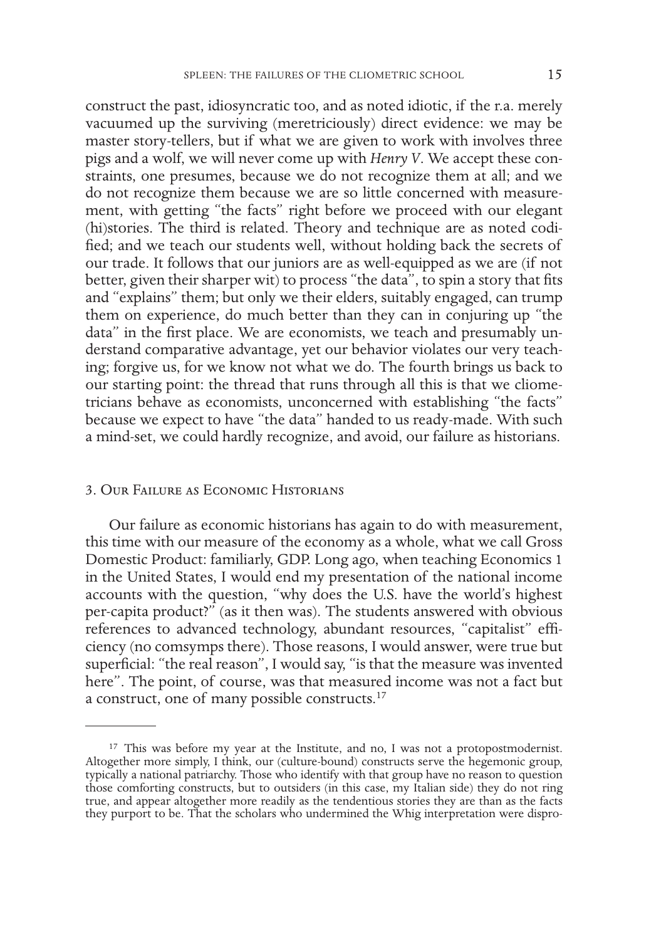construct the past, idiosyncratic too, and as noted idiotic, if the r.a. merely vacuumed up the surviving (meretriciously) direct evidence: we may be master story-tellers, but if what we are given to work with involves three pigs and a wolf, we will never come up with *Henry V*. We accept these constraints, one presumes, because we do not recognize them at all; and we do not recognize them because we are so little concerned with measurement, with getting "the facts" right before we proceed with our elegant (hi)stories. The third is related. Theory and technique are as noted codified; and we teach our students well, without holding back the secrets of our trade. It follows that our juniors are as well-equipped as we are (if not better, given their sharper wit) to process "the data", to spin a story that fits and "explains" them; but only we their elders, suitably engaged, can trump them on experience, do much better than they can in conjuring up "the data" in the first place. We are economists, we teach and presumably understand comparative advantage, yet our behavior violates our very teaching; forgive us, for we know not what we do. The fourth brings us back to our starting point: the thread that runs through all this is that we cliometricians behave as economists, unconcerned with establishing "the facts" because we expect to have "the data" handed to us ready-made. With such a mind-set, we could hardly recognize, and avoid, our failure as historians.

## 3. Our Failure as Economic Historians

Our failure as economic historians has again to do with measurement, this time with our measure of the economy as a whole, what we call Gross Domestic Product: familiarly, GDP. Long ago, when teaching Economics 1 in the United States, I would end my presentation of the national income accounts with the question, "why does the U.S. have the world's highest per-capita product?" (as it then was). The students answered with obvious references to advanced technology, abundant resources, "capitalist" efficiency (no comsymps there). Those reasons, I would answer, were true but superficial: "the real reason", I would say, "is that the measure was invented here". The point, of course, was that measured income was not a fact but a construct, one of many possible constructs.17

<sup>&</sup>lt;sup>17</sup> This was before my year at the Institute, and no, I was not a protopostmodernist. Altogether more simply, I think, our (culture-bound) constructs serve the hegemonic group, typically a national patriarchy. Those who identify with that group have no reason to question those comforting constructs, but to outsiders (in this case, my Italian side) they do not ring true, and appear altogether more readily as the tendentious stories they are than as the facts they purport to be. That the scholars who undermined the Whig interpretation were dispro-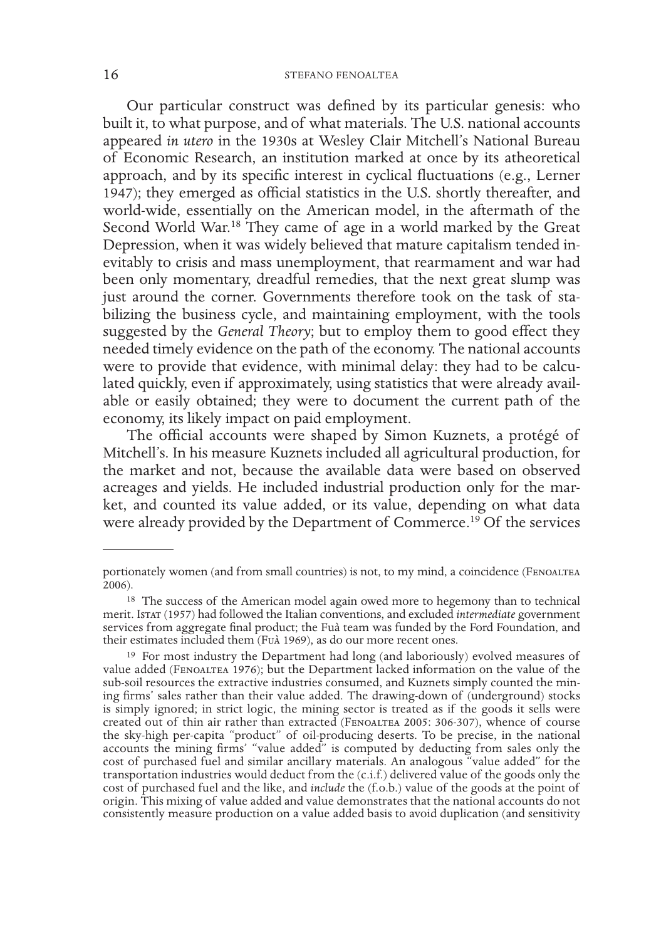## 16 STEFANO FENOALTEA

Our particular construct was defined by its particular genesis: who built it, to what purpose, and of what materials. The U.S. national accounts appeared *in utero* in the 1930s at Wesley Clair Mitchell's National Bureau of Economic Research, an institution marked at once by its atheoretical approach, and by its specific interest in cyclical fluctuations (e.g., Lerner 1947); they emerged as official statistics in the U.S. shortly thereafter, and world-wide, essentially on the American model, in the aftermath of the Second World War.<sup>18</sup> They came of age in a world marked by the Great Depression, when it was widely believed that mature capitalism tended inevitably to crisis and mass unemployment, that rearmament and war had been only momentary, dreadful remedies, that the next great slump was just around the corner. Governments therefore took on the task of stabilizing the business cycle, and maintaining employment, with the tools suggested by the *General Theory*; but to employ them to good effect they needed timely evidence on the path of the economy. The national accounts were to provide that evidence, with minimal delay: they had to be calculated quickly, even if approximately, using statistics that were already available or easily obtained; they were to document the current path of the economy, its likely impact on paid employment.

The official accounts were shaped by Simon Kuznets, a protégé of Mitchell's. In his measure Kuznets included all agricultural production, for the market and not, because the available data were based on observed acreages and yields. He included industrial production only for the market, and counted its value added, or its value, depending on what data were already provided by the Department of Commerce.<sup>19</sup> Of the services

portionately women (and from small countries) is not, to my mind, a coincidence (Fenoaltea 2006).

<sup>&</sup>lt;sup>18</sup> The success of the American model again owed more to hegemony than to technical merit. Istat (1957) had followed the Italian conventions, and excluded *intermediate* government services from aggregate final product; the Fuà team was funded by the Ford Foundation, and their estimates included them (Fuà 1969), as do our more recent ones.

<sup>19</sup> For most industry the Department had long (and laboriously) evolved measures of value added (Fenoaltea 1976); but the Department lacked information on the value of the sub-soil resources the extractive industries consumed, and Kuznets simply counted the mining firms' sales rather than their value added. The drawing-down of (underground) stocks is simply ignored; in strict logic, the mining sector is treated as if the goods it sells were created out of thin air rather than extracted (Fenoaltea 2005: 306-307), whence of course the sky-high per-capita "product" of oil-producing deserts. To be precise, in the national accounts the mining firms' "value added" is computed by deducting from sales only the cost of purchased fuel and similar ancillary materials. An analogous "value added" for the transportation industries would deduct from the (c.i.f.) delivered value of the goods only the cost of purchased fuel and the like, and *include* the (f.o.b.) value of the goods at the point of origin. This mixing of value added and value demonstrates that the national accounts do not consistently measure production on a value added basis to avoid duplication (and sensitivity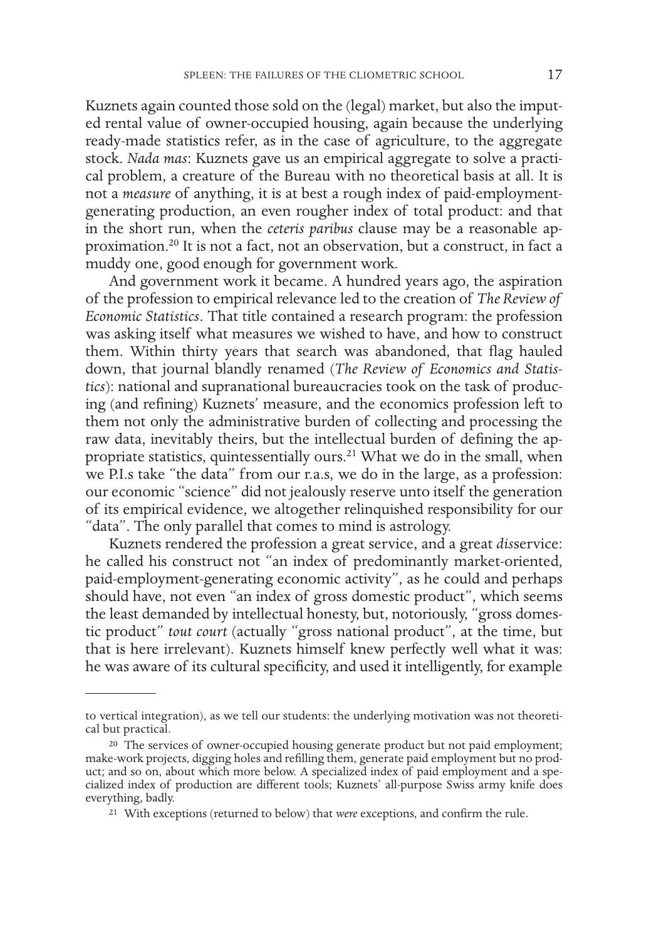Kuznets again counted those sold on the (legal) market, but also the imputed rental value of owner-occupied housing, again because the underlying ready-made statistics refer, as in the case of agriculture, to the aggregate stock. *Nada mas*: Kuznets gave us an empirical aggregate to solve a practical problem, a creature of the Bureau with no theoretical basis at all. It is not a *measure* of anything, it is at best a rough index of paid-employmentgenerating production, an even rougher index of total product: and that in the short run, when the *ceteris paribus* clause may be a reasonable approximation.20 It is not a fact, not an observation, but a construct, in fact a muddy one, good enough for government work.

And government work it became. A hundred years ago, the aspiration of the profession to empirical relevance led to the creation of *The Review of Economic Statistics*. That title contained a research program: the profession was asking itself what measures we wished to have, and how to construct them. Within thirty years that search was abandoned, that flag hauled down, that journal blandly renamed (*The Review of Economics and Statistics*): national and supranational bureaucracies took on the task of producing (and refining) Kuznets' measure, and the economics profession left to them not only the administrative burden of collecting and processing the raw data, inevitably theirs, but the intellectual burden of defining the appropriate statistics, quintessentially ours.<sup>21</sup> What we do in the small, when we P.I.s take "the data" from our r.a.s, we do in the large, as a profession: our economic "science" did not jealously reserve unto itself the generation of its empirical evidence, we altogether relinquished responsibility for our "data". The only parallel that comes to mind is astrology.

Kuznets rendered the profession a great service, and a great *dis*service: he called his construct not "an index of predominantly market-oriented, paid-employment-generating economic activity", as he could and perhaps should have, not even "an index of gross domestic product", which seems the least demanded by intellectual honesty, but, notoriously, "gross domestic product" *tout court* (actually "gross national product", at the time, but that is here irrelevant). Kuznets himself knew perfectly well what it was: he was aware of its cultural specificity, and used it intelligently, for example

to vertical integration), as we tell our students: the underlying motivation was not theoretical but practical.

<sup>&</sup>lt;sup>20</sup> The services of owner-occupied housing generate product but not paid employment; make-work projects, digging holes and refilling them, generate paid employment but no prodcialized index of production are different tools; Kuznets' all-purpose Swiss army knife does everything, badly.

<sup>21</sup> With exceptions (returned to below) that *were* exceptions, and confirm the rule.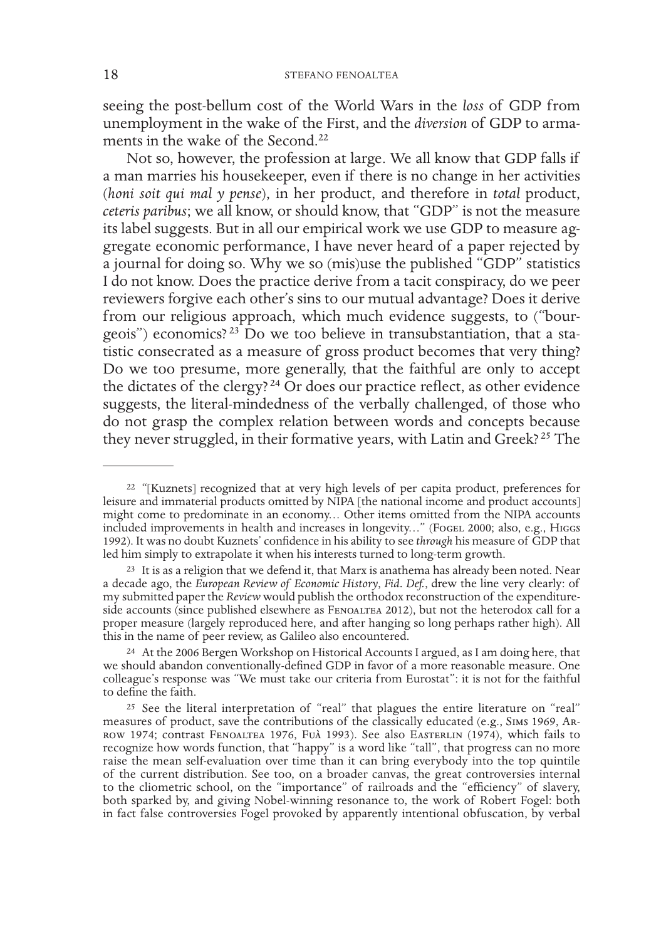seeing the post-bellum cost of the World Wars in the *loss* of GDP from unemployment in the wake of the First, and the *diversion* of GDP to armaments in the wake of the Second.<sup>22</sup>

Not so, however, the profession at large. We all know that GDP falls if a man marries his housekeeper, even if there is no change in her activities (*honi soit qui mal y pense*), in her product, and therefore in *total* product, *ceteris paribus*; we all know, or should know, that "GDP" is not the measure its label suggests. But in all our empirical work we use GDP to measure aggregate economic performance, I have never heard of a paper rejected by a journal for doing so. Why we so (mis)use the published "GDP" statistics I do not know. Does the practice derive from a tacit conspiracy, do we peer reviewers forgive each other's sins to our mutual advantage? Does it derive from our religious approach, which much evidence suggests, to ("bourgeois") economics?<sup>23</sup> Do we too believe in transubstantiation, that a statistic consecrated as a measure of gross product becomes that very thing? Do we too presume, more generally, that the faithful are only to accept the dictates of the clergy? 24 Or does our practice reflect, as other evidence suggests, the literal-mindedness of the verbally challenged, of those who do not grasp the complex relation between words and concepts because they never struggled, in their formative years, with Latin and Greek?<sup>25</sup> The

<sup>&</sup>lt;sup>22</sup> "[Kuznets] recognized that at very high levels of per capita product, preferences for leisure and immaterial products omitted by NIPA [the national income and product accounts] might come to predominate in an economy… Other items omitted from the NIPA accounts included improvements in health and increases in longevity..." (FogEL 2000; also, e.g., HIGGS 1992). It was no doubt Kuznets' confidence in his ability to see *through* his measure of GDP that led him simply to extrapolate it when his interests turned to long-term growth.

 $23$  It is as a religion that we defend it, that Marx is anathema has already been noted. Near a decade ago, the *European Review of Economic History*, *Fid. Def.*, drew the line very clearly: of my submitted paper the *Review* would publish the orthodox reconstruction of the expenditureside accounts (since published elsewhere as FENOALTEA 2012), but not the heterodox call for a proper measure (largely reproduced here, and after hanging so long perhaps rather high). All this in the name of peer review, as Galileo also encountered.

<sup>&</sup>lt;sup>24</sup> At the 2006 Bergen Workshop on Historical Accounts I argued, as I am doing here, that we should abandon conventionally-defined GDP in favor of a more reasonable measure. One colleague's response was "We must take our criteria from Eurostat": it is not for the faithful to define the faith.

<sup>25</sup> See the literal interpretation of "real" that plagues the entire literature on "real" measures of product, save the contributions of the classically educated (e.g., Sims 1969, Arrow 1974; contrast Fenoaltea 1976, Fuà 1993). See also Easterlin (1974), which fails to recognize how words function, that "happy" is a word like "tall", that progress can no more raise the mean self-evaluation over time than it can bring everybody into the top quintile of the current distribution. See too, on a broader canvas, the great controversies internal to the cliometric school, on the "importance" of railroads and the "efficiency" of slavery, both sparked by, and giving Nobel-winning resonance to, the work of Robert Fogel: both in fact false controversies Fogel provoked by apparently intentional obfuscation, by verbal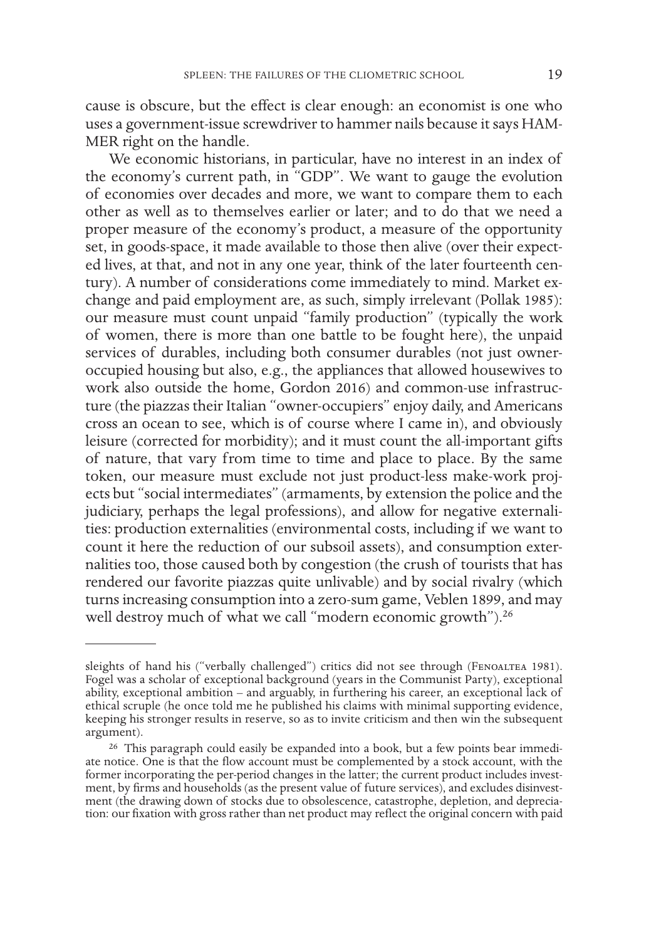cause is obscure, but the effect is clear enough: an economist is one who uses a government-issue screwdriver to hammer nails because it says HAM-MER right on the handle.

We economic historians, in particular, have no interest in an index of the economy's current path, in "GDP". We want to gauge the evolution of economies over decades and more, we want to compare them to each other as well as to themselves earlier or later; and to do that we need a proper measure of the economy's product, a measure of the opportunity set, in goods-space, it made available to those then alive (over their expected lives, at that, and not in any one year, think of the later fourteenth century). A number of considerations come immediately to mind. Market exchange and paid employment are, as such, simply irrelevant (Pollak 1985): our measure must count unpaid "family production" (typically the work of women, there is more than one battle to be fought here), the unpaid services of durables, including both consumer durables (not just owneroccupied housing but also, e.g., the appliances that allowed housewives to work also outside the home, Gordon 2016) and common-use infrastructure (the piazzas their Italian "owner-occupiers" enjoy daily, and Americans cross an ocean to see, which is of course where I came in), and obviously leisure (corrected for morbidity); and it must count the all-important gifts of nature, that vary from time to time and place to place. By the same token, our measure must exclude not just product-less make-work projects but "social intermediates" (armaments, by extension the police and the judiciary, perhaps the legal professions), and allow for negative externalities: production externalities (environmental costs, including if we want to count it here the reduction of our subsoil assets), and consumption externalities too, those caused both by congestion (the crush of tourists that has rendered our favorite piazzas quite unlivable) and by social rivalry (which turns increasing consumption into a zero-sum game, Veblen 1899, and may well destroy much of what we call "modern economic growth").<sup>26</sup>

sleights of hand his ("verbally challenged") critics did not see through (FENOALTEA 1981). Fogel was a scholar of exceptional background (years in the Communist Party), exceptional ability, exceptional ambition – and arguably, in furthering his career, an exceptional lack of ethical scruple (he once told me he published his claims with minimal supporting evidence, keeping his stronger results in reserve, so as to invite criticism and then win the subsequent argument).

<sup>&</sup>lt;sup>26</sup> This paragraph could easily be expanded into a book, but a few points bear immediate notice. One is that the flow account must be complemented by a stock account, with the former incorporating the per-period changes in the latter; the current product includes investment, by firms and households (as the present value of future services), and excludes disinvestment (the drawing down of stocks due to obsolescence, catastrophe, depletion, and depreciation: our fixation with gross rather than net product may reflect the original concern with paid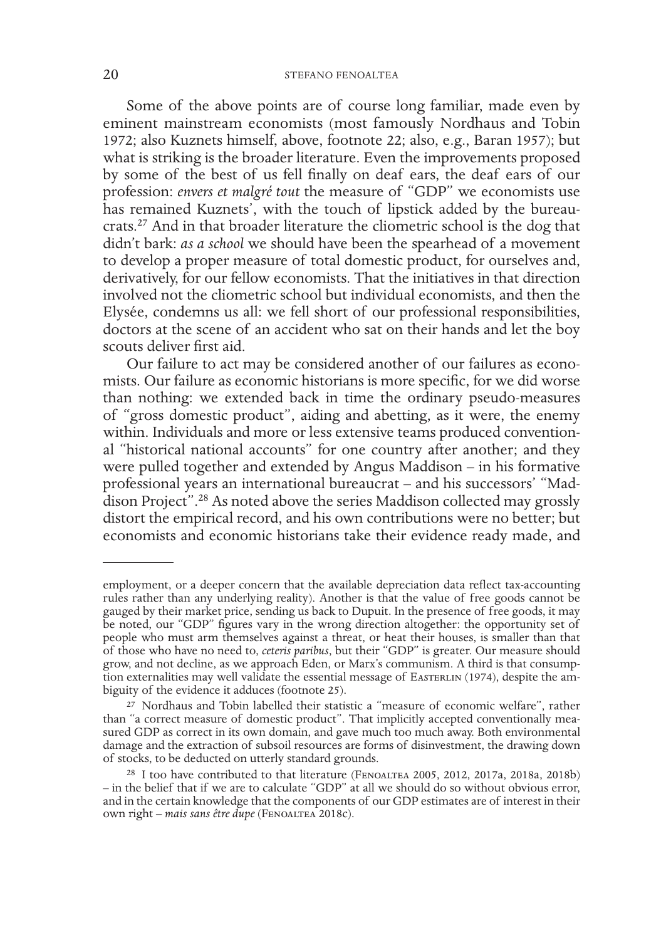Some of the above points are of course long familiar, made even by eminent mainstream economists (most famously Nordhaus and Tobin 1972; also Kuznets himself, above, footnote 22; also, e.g., Baran 1957); but what is striking is the broader literature. Even the improvements proposed by some of the best of us fell finally on deaf ears, the deaf ears of our profession: *envers et malgré tout* the measure of "GDP" we economists use has remained Kuznets', with the touch of lipstick added by the bureaucrats.27 And in that broader literature the cliometric school is the dog that didn't bark: *as a school* we should have been the spearhead of a movement to develop a proper measure of total domestic product, for ourselves and, derivatively, for our fellow economists. That the initiatives in that direction involved not the cliometric school but individual economists, and then the Elysée, condemns us all: we fell short of our professional responsibilities, doctors at the scene of an accident who sat on their hands and let the boy scouts deliver first aid.

Our failure to act may be considered another of our failures as economists. Our failure as economic historians is more specific, for we did worse than nothing: we extended back in time the ordinary pseudo-measures of "gross domestic product", aiding and abetting, as it were, the enemy within. Individuals and more or less extensive teams produced conventional "historical national accounts" for one country after another; and they were pulled together and extended by Angus Maddison – in his formative professional years an international bureaucrat – and his successors' "Maddison Project".28 As noted above the series Maddison collected may grossly distort the empirical record, and his own contributions were no better; but economists and economic historians take their evidence ready made, and

employment, or a deeper concern that the available depreciation data reflect tax-accounting rules rather than any underlying reality). Another is that the value of free goods cannot be gauged by their market price, sending us back to Dupuit. In the presence of free goods, it may be noted, our "GDP" figures vary in the wrong direction altogether: the opportunity set of people who must arm themselves against a threat, or heat their houses, is smaller than that of those who have no need to, *ceteris paribus*, but their "GDP" is greater. Our measure should grow, and not decline, as we approach Eden, or Marx's communism. A third is that consumption externalities may well validate the essential message of EASTERLIN (1974), despite the ambiguity of the evidence it adduces (footnote 25).

<sup>&</sup>lt;sup>27</sup> Nordhaus and Tobin labelled their statistic a "measure of economic welfare", rather than "a correct measure of domestic product". That implicitly accepted conventionally measured GDP as correct in its own domain, and gave much too much away. Both environmental damage and the extraction of subsoil resources are forms of disinvestment, the drawing down of stocks, to be deducted on utterly standard grounds.

<sup>&</sup>lt;sup>28</sup> I too have contributed to that literature (FENOALTEA 2005, 2012, 2017a, 2018a, 2018b) – in the belief that if we are to calculate "GDP" at all we should do so without obvious error, and in the certain knowledge that the components of our GDP estimates are of interest in their own right – *mais sans être dupe* (Fenoaltea 2018c).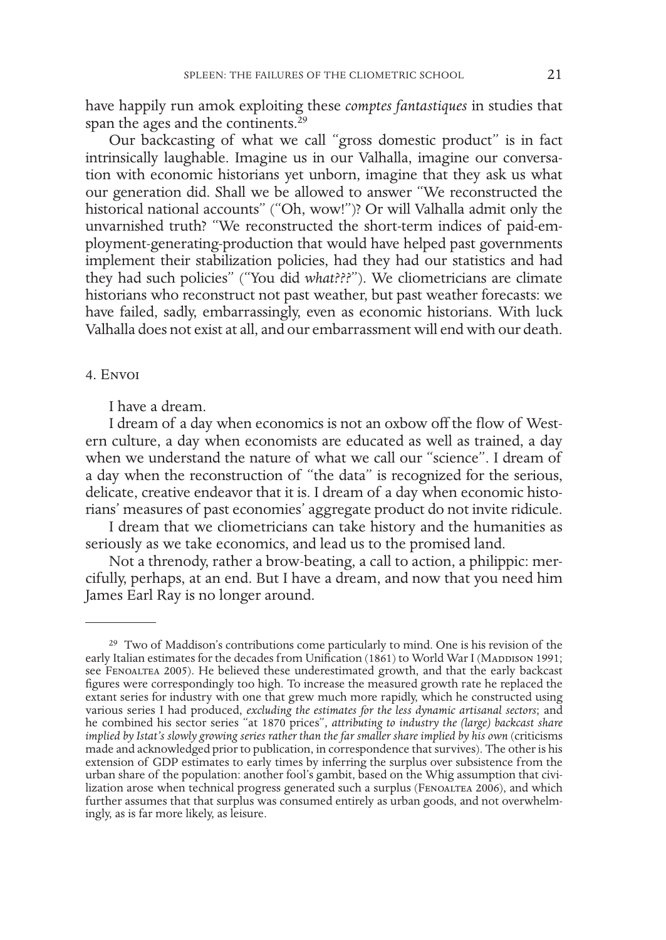have happily run amok exploiting these *comptes fantastiques* in studies that span the ages and the continents.<sup>29</sup>

Our backcasting of what we call "gross domestic product" is in fact intrinsically laughable. Imagine us in our Valhalla, imagine our conversation with economic historians yet unborn, imagine that they ask us what our generation did. Shall we be allowed to answer "We reconstructed the historical national accounts" ("Oh, wow!")? Or will Valhalla admit only the unvarnished truth? "We reconstructed the short-term indices of paid-employment-generating-production that would have helped past governments implement their stabilization policies, had they had our statistics and had they had such policies" ("You did *what???*"). We cliometricians are climate historians who reconstruct not past weather, but past weather forecasts: we have failed, sadly, embarrassingly, even as economic historians. With luck Valhalla does not exist at all, and our embarrassment will end with our death.

#### 4. Envoi

I have a dream.

I dream of a day when economics is not an oxbow off the flow of Western culture, a day when economists are educated as well as trained, a day when we understand the nature of what we call our "science". I dream of a day when the reconstruction of "the data" is recognized for the serious, delicate, creative endeavor that it is. I dream of a day when economic historians' measures of past economies' aggregate product do not invite ridicule.

I dream that we cliometricians can take history and the humanities as seriously as we take economics, and lead us to the promised land.

Not a threnody, rather a brow-beating, a call to action, a philippic: mercifully, perhaps, at an end. But I have a dream, and now that you need him James Earl Ray is no longer around.

<sup>&</sup>lt;sup>29</sup> Two of Maddison's contributions come particularly to mind. One is his revision of the early Italian estimates for the decades from Unification (1861) to World War I (MADDISON 1991; see FENOALTEA 2005). He believed these underestimated growth, and that the early backcast figures were correspondingly too high. To increase the measured growth rate he replaced the extant series for industry with one that grew much more rapidly, which he constructed using various series I had produced, *excluding the estimates for the less dynamic artisanal sectors*; and he combined his sector series "at 1870 prices", *attributing to industry the (large) backcast share implied by Istat's slowly growing series rather than the far smaller share implied by his own* (criticisms made and acknowledged prior to publication, in correspondence that survives). The other is his extension of GDP estimates to early times by inferring the surplus over subsistence from the urban share of the population: another fool's gambit, based on the Whig assumption that civilization arose when technical progress generated such a surplus (FenoalTEA 2006), and which further assumes that that surplus was consumed entirely as urban goods, and not overwhelm- ingly, as is far more likely, as leisure.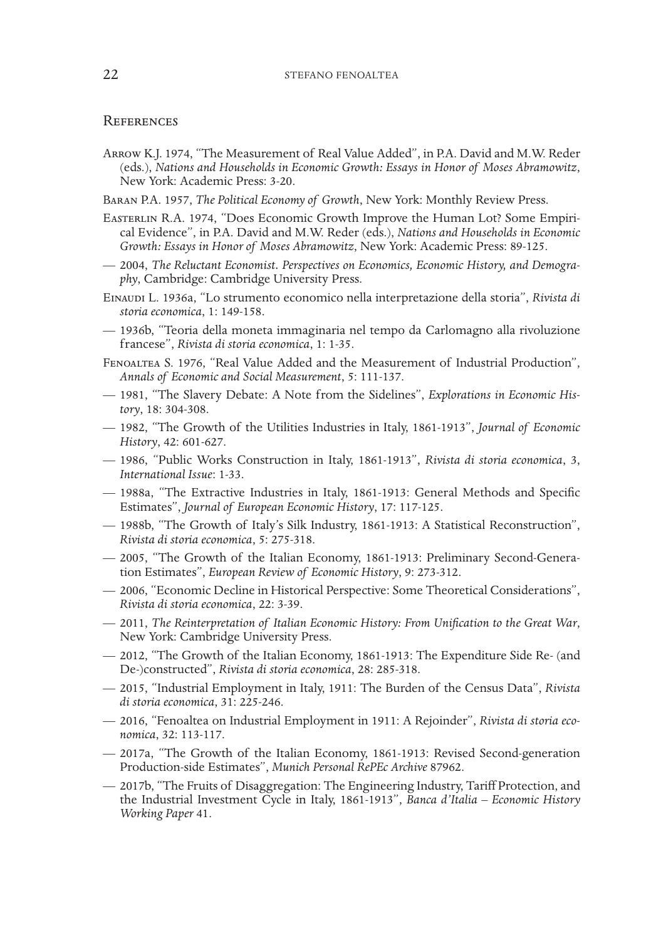#### **REFERENCES**

- Arrow K.J. 1974, "The Measurement of Real Value Added", in P.A. David and M.W. Reder (eds.), *Nations and Households in Economic Growth: Essays in Honor of Moses Abramowitz*, New York: Academic Press: 3-20.
- Baran P.A. 1957, *The Political Economy of Growth*, New York: Monthly Review Press.
- Easterlin R.A. 1974, "Does Economic Growth Improve the Human Lot? Some Empirical Evidence", in P.A. David and M.W. Reder (eds.), *Nations and Households in Economic Growth: Essays in Honor of Moses Abramowitz*, New York: Academic Press: 89-125.
- 2004, *The Reluctant Economist. Perspectives on Economics, Economic History, and Demography*, Cambridge: Cambridge University Press.
- Einaudi L. 1936a, "Lo strumento economico nella interpretazione della storia", *Rivista di storia economica*, 1: 149-158.
- 1936b, "Teoria della moneta immaginaria nel tempo da Carlomagno alla rivoluzione francese", *Rivista di storia economica*, 1: 1-35.
- Fenoaltea S. 1976, "Real Value Added and the Measurement of Industrial Production", *Annals of Economic and Social Measurement*, 5: 111-137.
- 1981, "The Slavery Debate: A Note from the Sidelines", *Explorations in Economic History*, 18: 304-308.
- 1982, "The Growth of the Utilities Industries in Italy, 1861-1913", *Journal of Economic History*, 42: 601-627.
- 1986, "Public Works Construction in Italy, 1861-1913", *Rivista di storia economica*, 3, *International Issue*: 1-33.
- 1988a, "The Extractive Industries in Italy, 1861-1913: General Methods and Specific Estimates", *Journal of European Economic History*, 17: 117-125.
- 1988b, "The Growth of Italy's Silk Industry, 1861-1913: A Statistical Reconstruction", *Rivista di storia economica*, 5: 275-318.
- 2005, "The Growth of the Italian Economy, 1861-1913: Preliminary Second-Generation Estimates", *European Review of Economic History*, 9: 273-312.
- 2006, "Economic Decline in Historical Perspective: Some Theoretical Considerations", *Rivista di storia economica*, 22: 3-39.
- 2011, *The Reinterpretation of Italian Economic History: From Unification to the Great War*, New York: Cambridge University Press.
- 2012, "The Growth of the Italian Economy, 1861-1913: The Expenditure Side Re- (and De-)constructed", *Rivista di storia economica*, 28: 285-318.
- 2015, "Industrial Employment in Italy, 1911: The Burden of the Census Data", *Rivista di storia economica*, 31: 225-246.
- 2016, "Fenoaltea on Industrial Employment in 1911: A Rejoinder", *Rivista di storia economica*, 32: 113-117.
- 2017a, "The Growth of the Italian Economy, 1861-1913: Revised Second-generation Production-side Estimates", *Munich Personal RePEc Archive* 87962.
- 2017b, "The Fruits of Disaggregation: The Engineering Industry, Tariff Protection, and the Industrial Investment Cycle in Italy, 1861-1913", *Banca d'Italia – Economic History Working Paper* 41.